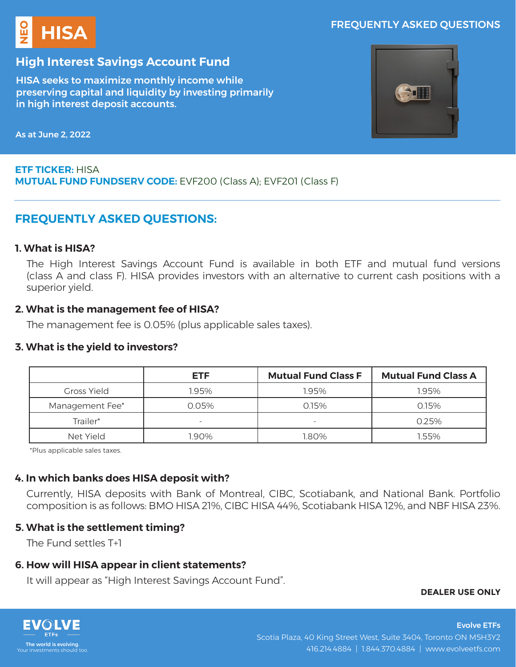## FREQUENTLY ASKED QUESTIONS



# **High Interest Savings Account Fund**

HISA seeks to maximize monthly income while preserving capital and liquidity by investing primarily in high interest deposit accounts.



As at June 2, 2022

## **ETF TICKER:** HISA **MUTUAL FUND FUNDSERV CODE:** EVF200 (Class A); EVF201 (Class F)

# **FREQUENTLY ASKED QUESTIONS:**

### **1. What is HISA?**

The High Interest Savings Account Fund is available in both ETF and mutual fund versions (class A and class F). HISA provides investors with an alternative to current cash positions with a superior yield.

## **2. What is the management fee of HISA?**

The management fee is 0.05% (plus applicable sales taxes).

### **3. What is the yield to investors?**

|                    | <b>ETF</b>               | <b>Mutual Fund Class F</b> | <b>Mutual Fund Class A</b> |
|--------------------|--------------------------|----------------------------|----------------------------|
| <b>Gross Yield</b> | 1.95%                    | 1.95%                      | 1.95%                      |
| Management Fee*    | 0.05%                    | 0.15%                      | 0.15%                      |
| Trailer*           | $\overline{\phantom{0}}$ | $\overline{\phantom{0}}$   | 0.25%                      |
| Net Yield          | .90%                     | 1.80%                      | 1.55%                      |

\*Plus applicable sales taxes.

# **4. In which banks does HISA deposit with?**

Currently, HISA deposits with Bank of Montreal, CIBC, Scotiabank, and National Bank. Portfolio composition is as follows: BMO HISA 21%, CIBC HISA 44%, Scotiabank HISA 12%, and NBF HISA 23%.

# **5. What is the settlement timing?**

The Fund settles T+1

# **6. How will HISA appear in client statements?**

It will appear as "High Interest Savings Account Fund".

**DEALER USE ONLY**

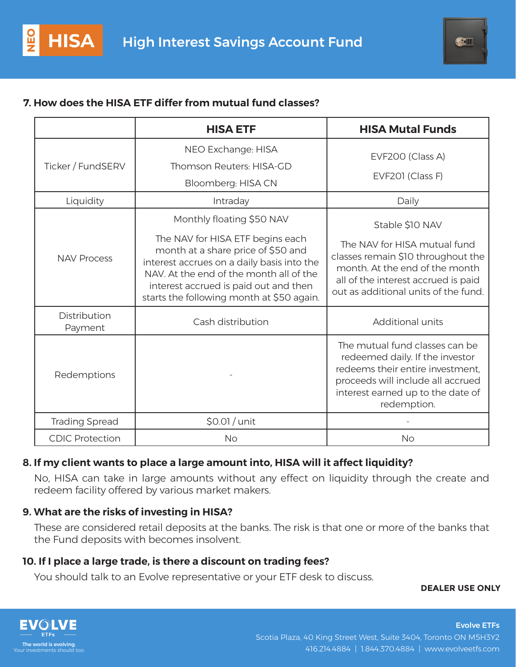# **7. How does the HISA ETF differ from mutual fund classes?**

|                         | <b>HISA ETF</b>                                                                                                                                                                                                                                       | <b>HISA Mutal Funds</b>                                                                                                                                                                        |  |
|-------------------------|-------------------------------------------------------------------------------------------------------------------------------------------------------------------------------------------------------------------------------------------------------|------------------------------------------------------------------------------------------------------------------------------------------------------------------------------------------------|--|
| Ticker / FundSERV       | NEO Exchange: HISA                                                                                                                                                                                                                                    | EVF200 (Class A)                                                                                                                                                                               |  |
|                         | Thomson Reuters: HISA-GD                                                                                                                                                                                                                              |                                                                                                                                                                                                |  |
|                         | Bloomberg: HISA CN                                                                                                                                                                                                                                    | EVF201 (Class F)                                                                                                                                                                               |  |
| Liquidity               | Intraday                                                                                                                                                                                                                                              | Daily                                                                                                                                                                                          |  |
| <b>NAV Process</b>      | Monthly floating \$50 NAV                                                                                                                                                                                                                             | Stable \$10 NAV                                                                                                                                                                                |  |
|                         | The NAV for HISA ETF begins each<br>month at a share price of \$50 and<br>interest accrues on a daily basis into the<br>NAV. At the end of the month all of the<br>interest accrued is paid out and then<br>starts the following month at \$50 again. | The NAV for HISA mutual fund<br>classes remain \$10 throughout the<br>month. At the end of the month<br>all of the interest accrued is paid<br>out as additional units of the fund.            |  |
| Distribution<br>Payment | Cash distribution                                                                                                                                                                                                                                     | Additional units                                                                                                                                                                               |  |
| Redemptions             |                                                                                                                                                                                                                                                       | The mutual fund classes can be<br>redeemed daily. If the investor<br>redeems their entire investment.<br>proceeds will include all accrued<br>interest earned up to the date of<br>redemption. |  |
| <b>Trading Spread</b>   | \$0.01 / unit                                                                                                                                                                                                                                         |                                                                                                                                                                                                |  |
| <b>CDIC Protection</b>  | <b>No</b>                                                                                                                                                                                                                                             | <b>No</b>                                                                                                                                                                                      |  |

## **8. If my client wants to place a large amount into, HISA will it affect liquidity?**

No, HISA can take in large amounts without any effect on liquidity through the create and redeem facility offered by various market makers.

## **9. What are the risks of investing in HISA?**

These are considered retail deposits at the banks. The risk is that one or more of the banks that the Fund deposits with becomes insolvent.

## **10. If I place a large trade, is there a discount on trading fees?**

You should talk to an Evolve representative or your ETF desk to discuss.

### **DEALER USE ONLY**